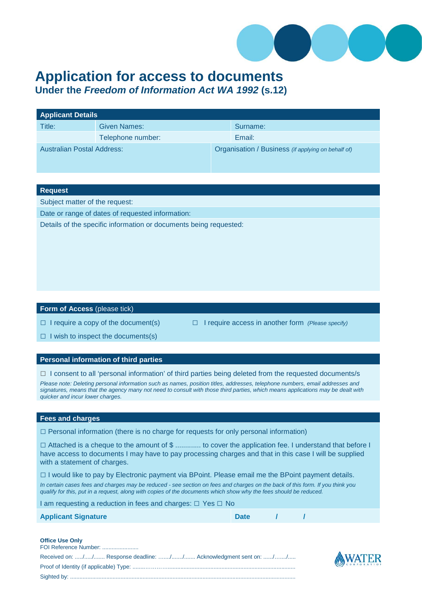

# **Application for access to documents**

**Under the** *Freedom of Information Act WA 1992* **(s.12)**

| <b>Applicant Details</b>          |                   |                                                    |          |  |  |
|-----------------------------------|-------------------|----------------------------------------------------|----------|--|--|
| Title:                            | Given Names:      |                                                    | Surname: |  |  |
|                                   | Telephone number: |                                                    | Email:   |  |  |
| <b>Australian Postal Address:</b> |                   | Organisation / Business (if applying on behalf of) |          |  |  |

### **Request**

Subject matter of the request:

Date or range of dates of requested information:

Details of the specific information or documents being requested:

### **Form of Access** (please tick)

□ I require a copy of the document(s) □ I require access in another form *(Please specify)*

 $\Box$  I wish to inspect the documents(s)

### **Personal information of third parties**

 $\Box$  I consent to all 'personal information' of third parties being deleted from the requested documents/s

*Please note: Deleting personal information such as names, position titles, addresses, telephone numbers, email addresses and signatures, means that the agency many not need to consult with those third parties, which means applications may be dealt with quicker and incur lower charges.*

### **Fees and charges**

 $\square$  Personal information (there is no charge for requests for only personal information)

□ Attached is a cheque to the amount of \$ ............. to cover the application fee. I understand that before I have access to documents I may have to pay processing charges and that in this case I will be supplied with a statement of charges.

□ I would like to pay by Electronic payment via BPoint. Please email me the BPoint payment details.

*In certain cases fees and charges may be reduced - see section on fees and charges on the back of this form. If you think you qualify for this, put in a request, along with copies of the documents which show why the fees should be reduced.* 

| I am requesting a reduction in fees and charges: □ Yes □ No |             |  |  |  |
|-------------------------------------------------------------|-------------|--|--|--|
| <b>Applicant Signature</b>                                  | <b>Date</b> |  |  |  |

### **Office Use Only**

| FOI Reference Number:                                            |
|------------------------------------------------------------------|
| Received on: // Response deadline: // Acknowledgment sent on: // |
|                                                                  |
|                                                                  |